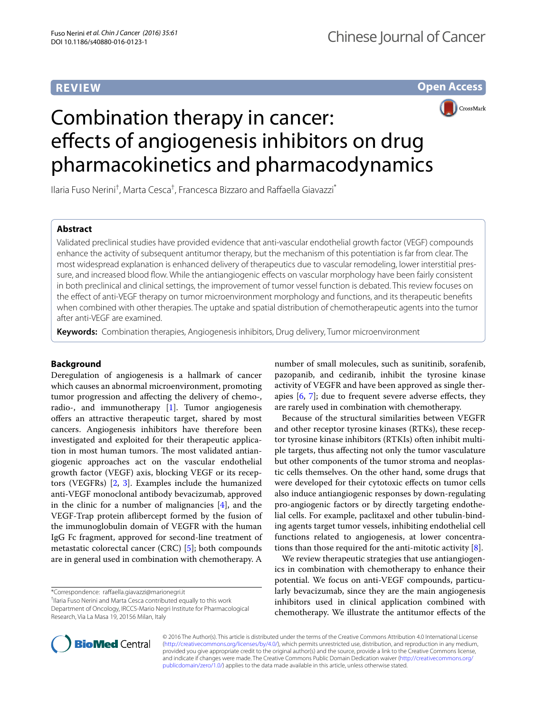## **REVIEW**

**Open Access**



# Combination therapy in cancer: effects of angiogenesis inhibitors on drug pharmacokinetics and pharmacodynamics

Ilaria Fuso Nerini<sup>†</sup>, Marta Cesca<sup>†</sup>, Francesca Bizzaro and Raffaella Giavazzi<sup>\*</sup>

## **Abstract**

Validated preclinical studies have provided evidence that anti-vascular endothelial growth factor (VEGF) compounds enhance the activity of subsequent antitumor therapy, but the mechanism of this potentiation is far from clear. The most widespread explanation is enhanced delivery of therapeutics due to vascular remodeling, lower interstitial pressure, and increased blood flow. While the antiangiogenic effects on vascular morphology have been fairly consistent in both preclinical and clinical settings, the improvement of tumor vessel function is debated. This review focuses on the effect of anti-VEGF therapy on tumor microenvironment morphology and functions, and its therapeutic benefits when combined with other therapies. The uptake and spatial distribution of chemotherapeutic agents into the tumor after anti-VEGF are examined.

**Keywords:** Combination therapies, Angiogenesis inhibitors, Drug delivery, Tumor microenvironment

## **Background**

Deregulation of angiogenesis is a hallmark of cancer which causes an abnormal microenvironment, promoting tumor progression and affecting the delivery of chemo-, radio-, and immunotherapy [\[1](#page-6-0)]. Tumor angiogenesis offers an attractive therapeutic target, shared by most cancers. Angiogenesis inhibitors have therefore been investigated and exploited for their therapeutic application in most human tumors. The most validated antiangiogenic approaches act on the vascular endothelial growth factor (VEGF) axis, blocking VEGF or its receptors (VEGFRs) [\[2](#page-6-1), [3](#page-6-2)]. Examples include the humanized anti-VEGF monoclonal antibody bevacizumab, approved in the clinic for a number of malignancies [\[4](#page-6-3)], and the VEGF-Trap protein aflibercept formed by the fusion of the immunoglobulin domain of VEGFR with the human IgG Fc fragment, approved for second-line treatment of metastatic colorectal cancer (CRC) [\[5](#page-6-4)]; both compounds are in general used in combination with chemotherapy. A

\*Correspondence: raffaella.giavazzi@marionegri.it

† Ilaria Fuso Nerini and Marta Cesca contributed equally to this work Department of Oncology, IRCCS-Mario Negri Institute for Pharmacological Research, Via La Masa 19, 20156 Milan, Italy

number of small molecules, such as sunitinib, sorafenib, pazopanib, and cediranib, inhibit the tyrosine kinase activity of VEGFR and have been approved as single therapies  $[6, 7]$  $[6, 7]$  $[6, 7]$  $[6, 7]$ ; due to frequent severe adverse effects, they are rarely used in combination with chemotherapy.

Because of the structural similarities between VEGFR and other receptor tyrosine kinases (RTKs), these receptor tyrosine kinase inhibitors (RTKIs) often inhibit multiple targets, thus affecting not only the tumor vasculature but other components of the tumor stroma and neoplastic cells themselves. On the other hand, some drugs that were developed for their cytotoxic effects on tumor cells also induce antiangiogenic responses by down-regulating pro-angiogenic factors or by directly targeting endothelial cells. For example, paclitaxel and other tubulin-binding agents target tumor vessels, inhibiting endothelial cell functions related to angiogenesis, at lower concentrations than those required for the anti-mitotic activity  $[8]$  $[8]$ .

We review therapeutic strategies that use antiangiogenics in combination with chemotherapy to enhance their potential. We focus on anti-VEGF compounds, particularly bevacizumab, since they are the main angiogenesis inhibitors used in clinical application combined with chemotherapy. We illustrate the antitumor effects of the



© 2016 The Author(s). This article is distributed under the terms of the Creative Commons Attribution 4.0 International License [\(http://creativecommons.org/licenses/by/4.0/\)](http://creativecommons.org/licenses/by/4.0/), which permits unrestricted use, distribution, and reproduction in any medium, provided you give appropriate credit to the original author(s) and the source, provide a link to the Creative Commons license, and indicate if changes were made. The Creative Commons Public Domain Dedication waiver ([http://creativecommons.org/](http://creativecommons.org/publicdomain/zero/1.0/) [publicdomain/zero/1.0/](http://creativecommons.org/publicdomain/zero/1.0/)) applies to the data made available in this article, unless otherwise stated.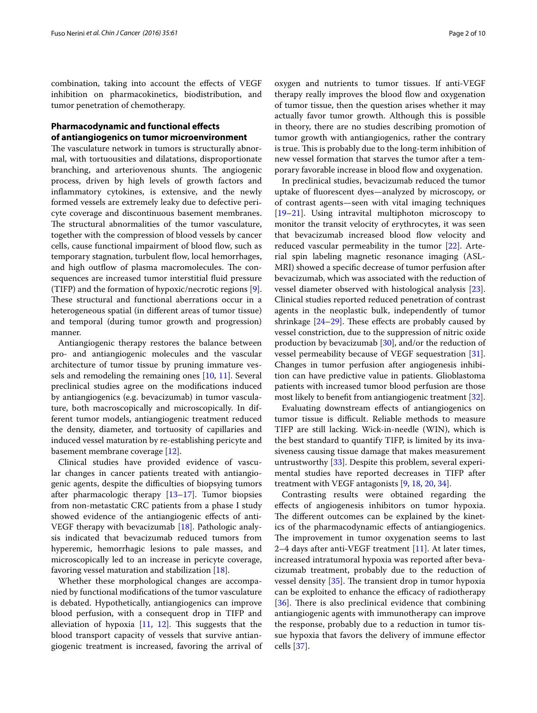combination, taking into account the effects of VEGF inhibition on pharmacokinetics, biodistribution, and tumor penetration of chemotherapy.

## **Pharmacodynamic and functional effects of antiangiogenics on tumor microenvironment**

The vasculature network in tumors is structurally abnormal, with tortuousities and dilatations, disproportionate branching, and arteriovenous shunts. The angiogenic process, driven by high levels of growth factors and inflammatory cytokines, is extensive, and the newly formed vessels are extremely leaky due to defective pericyte coverage and discontinuous basement membranes. The structural abnormalities of the tumor vasculature, together with the compression of blood vessels by cancer cells, cause functional impairment of blood flow, such as temporary stagnation, turbulent flow, local hemorrhages, and high outflow of plasma macromolecules. The consequences are increased tumor interstitial fluid pressure (TIFP) and the formation of hypoxic/necrotic regions [\[9](#page-6-8)]. These structural and functional aberrations occur in a heterogeneous spatial (in different areas of tumor tissue) and temporal (during tumor growth and progression) manner.

Antiangiogenic therapy restores the balance between pro- and antiangiogenic molecules and the vascular architecture of tumor tissue by pruning immature vessels and remodeling the remaining ones [[10,](#page-6-9) [11\]](#page-6-10). Several preclinical studies agree on the modifications induced by antiangiogenics (e.g. bevacizumab) in tumor vasculature, both macroscopically and microscopically. In different tumor models, antiangiogenic treatment reduced the density, diameter, and tortuosity of capillaries and induced vessel maturation by re-establishing pericyte and basement membrane coverage [\[12](#page-6-11)].

Clinical studies have provided evidence of vascular changes in cancer patients treated with antiangiogenic agents, despite the difficulties of biopsying tumors after pharmacologic therapy [\[13](#page-6-12)[–17\]](#page-7-0). Tumor biopsies from non-metastatic CRC patients from a phase I study showed evidence of the antiangiogenic effects of anti-VEGF therapy with bevacizumab [[18](#page-7-1)]. Pathologic analysis indicated that bevacizumab reduced tumors from hyperemic, hemorrhagic lesions to pale masses, and microscopically led to an increase in pericyte coverage, favoring vessel maturation and stabilization [[18](#page-7-1)].

Whether these morphological changes are accompanied by functional modifications of the tumor vasculature is debated. Hypothetically, antiangiogenics can improve blood perfusion, with a consequent drop in TIFP and alleviation of hypoxia  $[11, 12]$  $[11, 12]$  $[11, 12]$  $[11, 12]$  $[11, 12]$ . This suggests that the blood transport capacity of vessels that survive antiangiogenic treatment is increased, favoring the arrival of

oxygen and nutrients to tumor tissues. If anti-VEGF therapy really improves the blood flow and oxygenation of tumor tissue, then the question arises whether it may actually favor tumor growth. Although this is possible in theory, there are no studies describing promotion of tumor growth with antiangiogenics, rather the contrary is true. This is probably due to the long-term inhibition of new vessel formation that starves the tumor after a temporary favorable increase in blood flow and oxygenation.

In preclinical studies, bevacizumab reduced the tumor uptake of fluorescent dyes—analyzed by microscopy, or of contrast agents—seen with vital imaging techniques [[19–](#page-7-2)[21\]](#page-7-3). Using intravital multiphoton microscopy to monitor the transit velocity of erythrocytes, it was seen that bevacizumab increased blood flow velocity and reduced vascular permeability in the tumor [\[22](#page-7-4)]. Arterial spin labeling magnetic resonance imaging (ASL-MRI) showed a specific decrease of tumor perfusion after bevacizumab, which was associated with the reduction of vessel diameter observed with histological analysis [\[23](#page-7-5)]. Clinical studies reported reduced penetration of contrast agents in the neoplastic bulk, independently of tumor shrinkage [[24–](#page-7-6)[29\]](#page-7-7). These effects are probably caused by vessel constriction, due to the suppression of nitric oxide production by bevacizumab [[30](#page-7-8)], and/or the reduction of vessel permeability because of VEGF sequestration [\[31](#page-7-9)]. Changes in tumor perfusion after angiogenesis inhibition can have predictive value in patients. Glioblastoma patients with increased tumor blood perfusion are those most likely to benefit from antiangiogenic treatment [\[32\]](#page-7-10).

Evaluating downstream effects of antiangiogenics on tumor tissue is difficult. Reliable methods to measure TIFP are still lacking. Wick-in-needle (WIN), which is the best standard to quantify TIFP, is limited by its invasiveness causing tissue damage that makes measurement untrustworthy [[33\]](#page-7-11). Despite this problem, several experimental studies have reported decreases in TIFP after treatment with VEGF antagonists [\[9](#page-6-8), [18,](#page-7-1) [20,](#page-7-12) [34](#page-7-13)].

Contrasting results were obtained regarding the effects of angiogenesis inhibitors on tumor hypoxia. The different outcomes can be explained by the kinetics of the pharmacodynamic effects of antiangiogenics. The improvement in tumor oxygenation seems to last 2–4 days after anti-VEGF treatment  $[11]$  $[11]$ . At later times, increased intratumoral hypoxia was reported after bevacizumab treatment, probably due to the reduction of vessel density [\[35](#page-7-14)]. The transient drop in tumor hypoxia can be exploited to enhance the efficacy of radiotherapy [[36\]](#page-7-15). There is also preclinical evidence that combining antiangiogenic agents with immunotherapy can improve the response, probably due to a reduction in tumor tissue hypoxia that favors the delivery of immune effector cells [\[37](#page-7-16)].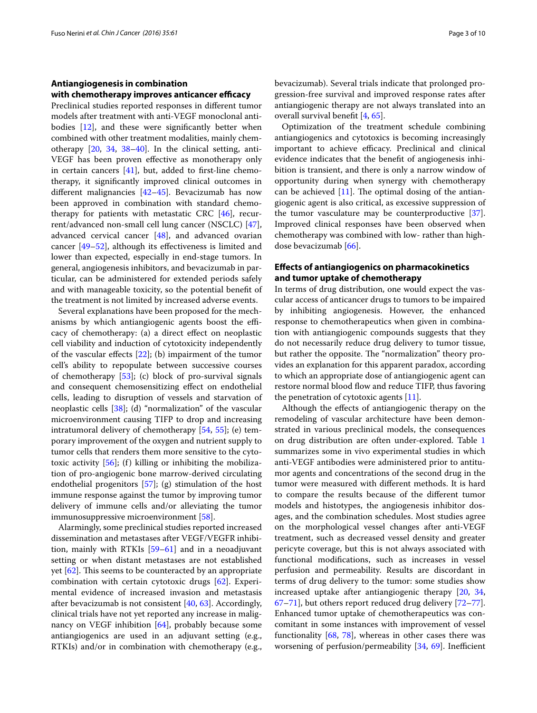#### **Antiangiogenesis in combination with chemotherapy improves anticancer efficacy**

Preclinical studies reported responses in different tumor models after treatment with anti-VEGF monoclonal antibodies [[12\]](#page-6-11), and these were significantly better when combined with other treatment modalities, mainly chemotherapy [[20,](#page-7-12) [34,](#page-7-13) [38–](#page-7-17)[40](#page-7-18)]. In the clinical setting, anti-VEGF has been proven effective as monotherapy only in certain cancers [[41](#page-7-19)], but, added to first-line chemotherapy, it significantly improved clinical outcomes in different malignancies [\[42](#page-7-20)[–45\]](#page-7-21). Bevacizumab has now been approved in combination with standard chemotherapy for patients with metastatic CRC [\[46](#page-7-22)], recurrent/advanced non-small cell lung cancer (NSCLC) [\[47](#page-7-23)], advanced cervical cancer [\[48\]](#page-7-24), and advanced ovarian cancer [\[49](#page-7-25)[–52\]](#page-8-0), although its effectiveness is limited and lower than expected, especially in end-stage tumors. In general, angiogenesis inhibitors, and bevacizumab in particular, can be administered for extended periods safely and with manageable toxicity, so the potential benefit of the treatment is not limited by increased adverse events.

Several explanations have been proposed for the mechanisms by which antiangiogenic agents boost the efficacy of chemotherapy: (a) a direct effect on neoplastic cell viability and induction of cytotoxicity independently of the vascular effects [\[22](#page-7-4)]; (b) impairment of the tumor cell's ability to repopulate between successive courses of chemotherapy [\[53](#page-8-1)]; (c) block of pro-survival signals and consequent chemosensitizing effect on endothelial cells, leading to disruption of vessels and starvation of neoplastic cells [[38](#page-7-17)]; (d) "normalization" of the vascular microenvironment causing TIFP to drop and increasing intratumoral delivery of chemotherapy [[54](#page-8-2), [55\]](#page-8-3); (e) temporary improvement of the oxygen and nutrient supply to tumor cells that renders them more sensitive to the cytotoxic activity  $[56]$  $[56]$ ; (f) killing or inhibiting the mobilization of pro-angiogenic bone marrow-derived circulating endothelial progenitors [\[57\]](#page-8-5); (g) stimulation of the host immune response against the tumor by improving tumor delivery of immune cells and/or alleviating the tumor immunosuppressive microenvironment [[58](#page-8-6)].

Alarmingly, some preclinical studies reported increased dissemination and metastases after VEGF/VEGFR inhibition, mainly with RTKIs [\[59](#page-8-7)–[61\]](#page-8-8) and in a neoadjuvant setting or when distant metastases are not established yet [[62](#page-8-9)]. This seems to be counteracted by an appropriate combination with certain cytotoxic drugs [[62\]](#page-8-9). Experimental evidence of increased invasion and metastasis after bevacizumab is not consistent [[40,](#page-7-18) [63](#page-8-10)]. Accordingly, clinical trials have not yet reported any increase in malig-nancy on VEGF inhibition [[64](#page-8-11)], probably because some antiangiogenics are used in an adjuvant setting (e.g., RTKIs) and/or in combination with chemotherapy (e.g., bevacizumab). Several trials indicate that prolonged progression-free survival and improved response rates after antiangiogenic therapy are not always translated into an overall survival benefit [[4,](#page-6-3) [65](#page-8-12)].

Optimization of the treatment schedule combining antiangiogenics and cytotoxics is becoming increasingly important to achieve efficacy. Preclinical and clinical evidence indicates that the benefit of angiogenesis inhibition is transient, and there is only a narrow window of opportunity during when synergy with chemotherapy can be achieved  $[11]$  $[11]$ . The optimal dosing of the antiangiogenic agent is also critical, as excessive suppression of the tumor vasculature may be counterproductive [\[37](#page-7-16)]. Improved clinical responses have been observed when chemotherapy was combined with low- rather than highdose bevacizumab [\[66\]](#page-8-13).

## **Effects of antiangiogenics on pharmacokinetics and tumor uptake of chemotherapy**

In terms of drug distribution, one would expect the vascular access of anticancer drugs to tumors to be impaired by inhibiting angiogenesis. However, the enhanced response to chemotherapeutics when given in combination with antiangiogenic compounds suggests that they do not necessarily reduce drug delivery to tumor tissue, but rather the opposite. The "normalization" theory provides an explanation for this apparent paradox, according to which an appropriate dose of antiangiogenic agent can restore normal blood flow and reduce TIFP, thus favoring the penetration of cytotoxic agents [\[11\]](#page-6-10).

Although the effects of antiangiogenic therapy on the remodeling of vascular architecture have been demonstrated in various preclinical models, the consequences on drug distribution are often under-explored. Table [1](#page-4-0) summarizes some in vivo experimental studies in which anti-VEGF antibodies were administered prior to antitumor agents and concentrations of the second drug in the tumor were measured with different methods. It is hard to compare the results because of the different tumor models and histotypes, the angiogenesis inhibitor dosages, and the combination schedules. Most studies agree on the morphological vessel changes after anti-VEGF treatment, such as decreased vessel density and greater pericyte coverage, but this is not always associated with functional modifications, such as increases in vessel perfusion and permeability. Results are discordant in terms of drug delivery to the tumor: some studies show increased uptake after antiangiogenic therapy [\[20](#page-7-12), [34](#page-7-13), [67](#page-8-14)[–71](#page-8-15)], but others report reduced drug delivery [[72](#page-8-16)[–77](#page-8-17)]. Enhanced tumor uptake of chemotherapeutics was concomitant in some instances with improvement of vessel functionality [[68,](#page-8-18) [78](#page-8-19)], whereas in other cases there was worsening of perfusion/permeability [[34,](#page-7-13) [69](#page-8-20)]. Inefficient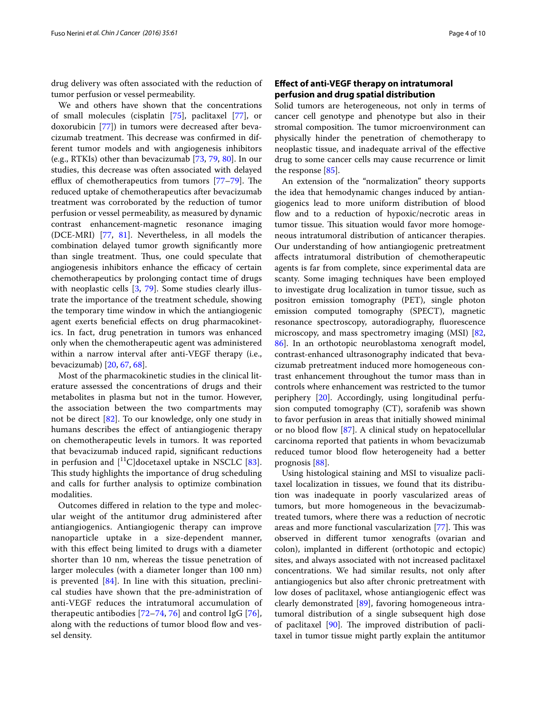drug delivery was often associated with the reduction of tumor perfusion or vessel permeability.

We and others have shown that the concentrations of small molecules (cisplatin [[75](#page-8-21)], paclitaxel [[77](#page-8-17)], or doxorubicin [\[77\]](#page-8-17)) in tumors were decreased after bevacizumab treatment. This decrease was confirmed in different tumor models and with angiogenesis inhibitors (e.g., RTKIs) other than bevacizumab [[73,](#page-8-22) [79,](#page-8-23) [80](#page-8-24)]. In our studies, this decrease was often associated with delayed efflux of chemotherapeutics from tumors [[77–](#page-8-17)[79](#page-8-23)]. The reduced uptake of chemotherapeutics after bevacizumab treatment was corroborated by the reduction of tumor perfusion or vessel permeability, as measured by dynamic contrast enhancement-magnetic resonance imaging (DCE-MRI) [\[77,](#page-8-17) [81\]](#page-8-25). Nevertheless, in all models the combination delayed tumor growth significantly more than single treatment. Thus, one could speculate that angiogenesis inhibitors enhance the efficacy of certain chemotherapeutics by prolonging contact time of drugs with neoplastic cells [\[3](#page-6-2), [79](#page-8-23)]. Some studies clearly illustrate the importance of the treatment schedule, showing the temporary time window in which the antiangiogenic agent exerts beneficial effects on drug pharmacokinetics. In fact, drug penetration in tumors was enhanced only when the chemotherapeutic agent was administered within a narrow interval after anti-VEGF therapy (i.e., bevacizumab) [\[20,](#page-7-12) [67](#page-8-14), [68\]](#page-8-18).

Most of the pharmacokinetic studies in the clinical literature assessed the concentrations of drugs and their metabolites in plasma but not in the tumor. However, the association between the two compartments may not be direct [\[82](#page-8-26)]. To our knowledge, only one study in humans describes the effect of antiangiogenic therapy on chemotherapeutic levels in tumors. It was reported that bevacizumab induced rapid, significant reductions in perfusion and  $[{}^{11}C]$ docetaxel uptake in NSCLC [\[83](#page-8-27)]. This study highlights the importance of drug scheduling and calls for further analysis to optimize combination modalities.

Outcomes differed in relation to the type and molecular weight of the antitumor drug administered after antiangiogenics. Antiangiogenic therapy can improve nanoparticle uptake in a size-dependent manner, with this effect being limited to drugs with a diameter shorter than 10 nm, whereas the tissue penetration of larger molecules (with a diameter longer than 100 nm) is prevented [[84\]](#page-8-28). In line with this situation, preclinical studies have shown that the pre-administration of anti-VEGF reduces the intratumoral accumulation of therapeutic antibodies [\[72](#page-8-16)[–74](#page-8-29), [76](#page-8-30)] and control IgG [[76](#page-8-30)], along with the reductions of tumor blood flow and vessel density.

## **Effect of anti‑VEGF therapy on intratumoral perfusion and drug spatial distribution**

Solid tumors are heterogeneous, not only in terms of cancer cell genotype and phenotype but also in their stromal composition. The tumor microenvironment can physically hinder the penetration of chemotherapy to neoplastic tissue, and inadequate arrival of the effective drug to some cancer cells may cause recurrence or limit the response [[85\]](#page-8-31).

An extension of the "normalization" theory supports the idea that hemodynamic changes induced by antiangiogenics lead to more uniform distribution of blood flow and to a reduction of hypoxic/necrotic areas in tumor tissue. This situation would favor more homogeneous intratumoral distribution of anticancer therapies. Our understanding of how antiangiogenic pretreatment affects intratumoral distribution of chemotherapeutic agents is far from complete, since experimental data are scanty. Some imaging techniques have been employed to investigate drug localization in tumor tissue, such as positron emission tomography (PET), single photon emission computed tomography (SPECT), magnetic resonance spectroscopy, autoradiography, fluorescence microscopy, and mass spectrometry imaging (MSI) [[82](#page-8-26), [86\]](#page-8-32). In an orthotopic neuroblastoma xenograft model, contrast-enhanced ultrasonography indicated that bevacizumab pretreatment induced more homogeneous contrast enhancement throughout the tumor mass than in controls where enhancement was restricted to the tumor periphery [\[20](#page-7-12)]. Accordingly, using longitudinal perfusion computed tomography (CT), sorafenib was shown to favor perfusion in areas that initially showed minimal or no blood flow [[87\]](#page-8-33). A clinical study on hepatocellular carcinoma reported that patients in whom bevacizumab reduced tumor blood flow heterogeneity had a better prognosis [\[88\]](#page-8-34).

Using histological staining and MSI to visualize paclitaxel localization in tissues, we found that its distribution was inadequate in poorly vascularized areas of tumors, but more homogeneous in the bevacizumabtreated tumors, where there was a reduction of necrotic areas and more functional vascularization [\[77](#page-8-17)]. This was observed in different tumor xenografts (ovarian and colon), implanted in different (orthotopic and ectopic) sites, and always associated with not increased paclitaxel concentrations. We had similar results, not only after antiangiogenics but also after chronic pretreatment with low doses of paclitaxel, whose antiangiogenic effect was clearly demonstrated [\[89](#page-9-0)], favoring homogeneous intratumoral distribution of a single subsequent high dose of paclitaxel [[90](#page-9-1)]. The improved distribution of paclitaxel in tumor tissue might partly explain the antitumor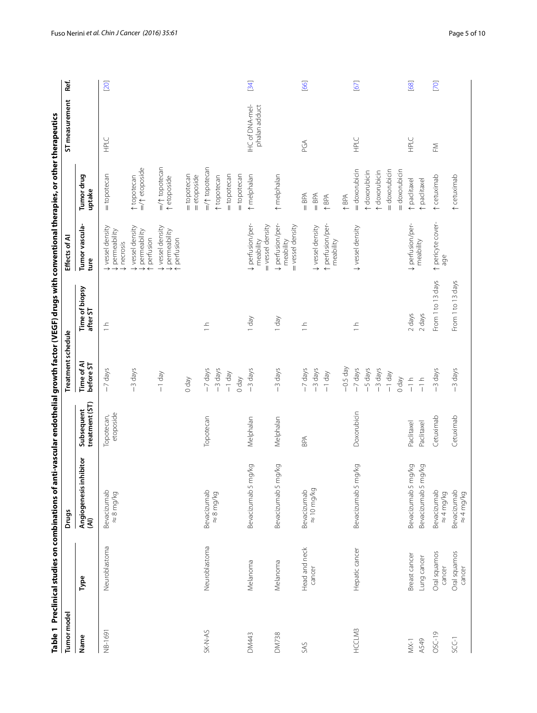<span id="page-4-0"></span>

|              | Table 1 Preclinical studies on combinations of an |                                          |                              |                         | ti-vascular endothelial growth factor (VEGF) drugs with conventional therapies, or other therapeutics |                                                     |                                           |                                  |      |
|--------------|---------------------------------------------------|------------------------------------------|------------------------------|-------------------------|-------------------------------------------------------------------------------------------------------|-----------------------------------------------------|-------------------------------------------|----------------------------------|------|
| Tumor mode   |                                                   | <b>Drugs</b>                             |                              | Treatment schedule      |                                                                                                       | Effects of AI                                       |                                           | ST measurement                   | Ref. |
| Name         | Type                                              | hibitor<br>Angiogenesis in <br>(Al)      | treatment (ST)<br>Subsequent | Time of Al<br>before ST | Time of biopsy<br>after ST                                                                            | Tumor vascula-<br>ture                              | Tumor drug<br>uptake                      |                                  |      |
| NB-1691      | Neuroblastoma                                     | Bevacizumab<br>$\approx 8 \text{ mg/kg}$ | etoposide<br>Topotecan,      | -7 days                 | $\frac{1}{1}$                                                                                         | Vessel density<br>permeability<br><b>U</b> necrosis | = topotecan                               | HPLC                             | [20] |
|              |                                                   |                                          |                              | -3 days                 |                                                                                                       | Vessel density<br>V permeability<br>perfusion       | $=$ / $\uparrow$ etoposide<br>topotecan   |                                  |      |
|              |                                                   |                                          |                              | $-1$ day                |                                                                                                       | Vessel density<br>V permeability<br>t perfusion     | $=$ / $\uparrow$ topotecan<br>t etoposide |                                  |      |
|              |                                                   |                                          |                              | Vep 0                   |                                                                                                       |                                                     | = topotecan<br>= etoposide                |                                  |      |
| SK-N-AS      | Neuroblastoma                                     | Bevacizumab                              | Topotecan                    | -7 days                 | $\frac{1}{1}$                                                                                         |                                                     | $=$ / $\uparrow$ topotecan                |                                  |      |
|              |                                                   | $\approx 8 \text{ mg/kg}$                |                              | -3 days                 |                                                                                                       |                                                     | topotecan                                 |                                  |      |
|              |                                                   |                                          |                              | $-1$ day                |                                                                                                       |                                                     | = topotecan                               |                                  |      |
|              |                                                   |                                          |                              | Vep 0                   |                                                                                                       |                                                     | = topotecan                               |                                  |      |
| <b>DM443</b> | Melanoma                                          | Bevacizumab 5 mg/kg                      | Melphalan                    | -3 days                 | T day                                                                                                 | + perfusion/per<br>= vessel density<br>meability    | t melphalan                               | IHC of DNA-mel-<br>phalan adduct | [34] |
| <b>DM738</b> | Melanoma                                          | Bevacizumab 5 mg/kg                      | Melphalan                    | -3 days                 | T day                                                                                                 | + perfusion/per-<br>= vessel density<br>meability   | t melphalan                               |                                  |      |
| SAS          | Head and neck                                     | Bevacizumab                              | BPA                          | -7 days                 | $\frac{1}{1}$                                                                                         |                                                     | $=$ BPA                                   | PGA                              | [66] |
|              | cancer                                            | $\approx 10 \text{ mg/kg}$               |                              | -3 days                 |                                                                                                       | Vessel density                                      | $=$ BPA                                   |                                  |      |
|              |                                                   |                                          |                              | $-1$ day                |                                                                                                       | t perfusion/per-<br>meability                       | ↑BPA                                      |                                  |      |
|              |                                                   |                                          |                              | $-0.5$ day              |                                                                                                       |                                                     | $\uparrow$ BPA                            |                                  |      |
| HCCLM3       | Hepatic cancer                                    | Bevacizumab 5 mg/kg                      | Doxorubicin                  | -7 days<br>-5 days      | $\frac{1}{1}$                                                                                         | Vessel density                                      | = doxorubicin<br>t doxorubicin            | HPLC                             | [67] |
|              |                                                   |                                          |                              | -3 days                 |                                                                                                       |                                                     | t doxorubicin                             |                                  |      |
|              |                                                   |                                          |                              | $-1$ day                |                                                                                                       |                                                     | = doxorubicin                             |                                  |      |
|              |                                                   |                                          |                              | 0 day                   |                                                                                                       |                                                     | = doxorubicin                             |                                  |      |
| $MX-1$       | Breast cancer                                     | Bevacizumab 5 mg/kg                      | Paclitaxel                   | $\frac{1}{1}$           | 2 days                                                                                                | + perfusion/per-<br>meability                       | t paclitaxel                              | HPLC                             | [68] |
| A549         | Lung cancer                                       | Bevacizumab 5 mg/kg                      | Paclitaxel                   | $\frac{1}{\sqrt{1}}$    | 2 days                                                                                                |                                                     | t paclitaxel                              |                                  |      |
| OSC-19       | Oral squamos<br>cancer                            | Bevacizumab<br>$\approx 4 \text{ mg/kg}$ | Cetuximab                    | -3 days                 | From 1 to 13 days                                                                                     | t pericyte cover-<br>age                            | t cetuximab                               | ΣĚ                               | [70] |
| SCC-1        | Oral squamos<br>cancer                            | Bevacizumab<br>$\approx$ 4 mg/kg         | Cetuximab                    | $-3$ days               | From 1 to 13 days                                                                                     |                                                     | t cetuximab                               |                                  |      |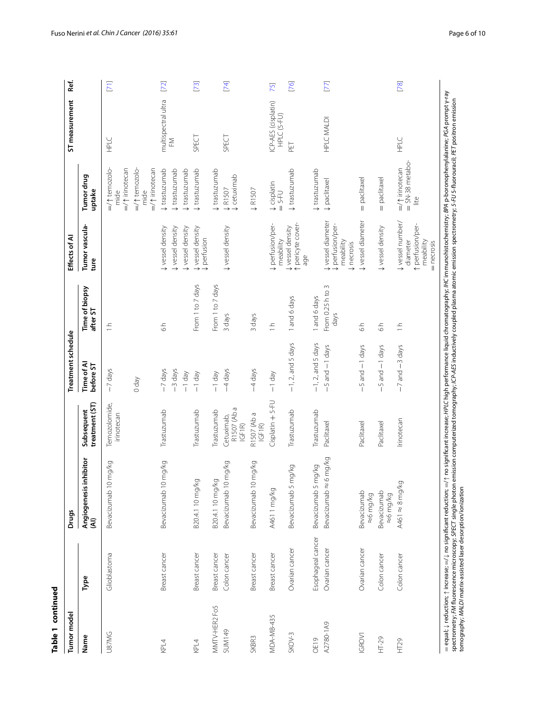| Table 1 continued |                   |                                |                                     |                               |                            |                                                                           |                                                      |                                    |              |
|-------------------|-------------------|--------------------------------|-------------------------------------|-------------------------------|----------------------------|---------------------------------------------------------------------------|------------------------------------------------------|------------------------------------|--------------|
| Tumor model       |                   | <b>Drugs</b>                   |                                     | Treatment schedule            |                            | Effects of AI                                                             |                                                      | ST measurement                     | Ref.         |
| Name              | Туре              | Angiogenesis inhibitor<br>(AI) | treatment (ST)<br>Subsequent        | Time of Al<br>before ST       | Time of biopsy<br>after ST | Tumor vascula-<br>ture                                                    | Tumor drug<br>uptake                                 |                                    |              |
| <b>U87MG</b>      | Glioblastoma      | Bevacizumab 10 mg/kg           | Temozolomide,<br>irinotecan         | -7 days                       | $\frac{1}{1}$              |                                                                           | =/1 irinotecan<br>$=$ / $\uparrow$ temozolo-<br>mide | HPLC                               | $\boxed{71}$ |
|                   |                   |                                |                                     | $Vep$ 0                       |                            |                                                                           | $=$ / $\uparrow$ temozolo-<br>=/1 irinotecan<br>mide |                                    |              |
| KPL4              | Breast cancer     | Bevacizumab 10 mg/kg           | Trastuzumab                         | -7 days                       | $\frac{1}{6}$              | Vessel density                                                            | trastuzumab                                          | multispectral ultra<br>ΣĚ          | $[72]$       |
|                   |                   |                                |                                     | -3 days<br>$-1$ day           |                            | Vessel density<br>Vessel density                                          | trastuzumab<br>trastuzumab                           |                                    |              |
| KPL4              | Breast cancer     | B20.4.1 10 mg/kg               | Trastuzumab                         | $-1$ day                      | From 1 to 7 days           | Vessel density<br>perfusion                                               | ↓ trastuzumab                                        | SPECT                              | $[73]$       |
| MMTV-HER2 Fo5     | Breast cancer     | B20.4.1 10 mg/kg               | Trastuzumab                         | $-1$ day                      | From 1 to 7 days           |                                                                           | trastuzumab                                          |                                    |              |
| <b>SUM149</b>     | Colon cancer      | Bevacizumab 10 mg/kg           | R1507 (Ab a<br>IGF1R)<br>Cetuximab, | -4 days                       | 3 days                     | Vessel density                                                            | U cetuximab<br><b>VR1507</b>                         | SPECT                              | $[74]$       |
| SKBR <sub>3</sub> | Breast cancer     | Bevacizumab 10 mg/kg           | R1507 (Ab a<br>IGF1R                | -4 days                       | 3 days                     |                                                                           | ↓R1507                                               |                                    |              |
| MDA-MB-435        | Breast cancer     | A461 1 mg/kg                   | Cisplatin + 5-FU                    | $-1$ day                      | $\frac{1}{1}$              | + perfusion/per-<br>meability                                             | <b>Urbelatio</b><br>$= 5 - FU$                       | ICP-AES (cisplatin)<br>HPLC (5-FU) | 75]          |
| $SKOV-3$          | Ovarian cancer    | ig/kg<br>Bevacizumab 5 m       | Trastuzumab                         | $-1, 2,$ and 5 days           | 1 and 6 days               | t pericyte cover-<br>Vessel density<br>age                                | trastuzumab                                          | PET                                | $[76]$       |
| OE19              | Esophageal cancer | py/6<br>Bevacizumab 5 m        | Trastuzumab                         | $-1$ , 2, and 5 days          | 1 and 6 days               |                                                                           | trastuzumab                                          |                                    |              |
| A2780-1A9         | Ovarian cancer    | img/kg<br>Bevacizumab ≈6       | Paclitaxel                          | $-5$ and $-1$ days            | From 0.25 h to 3<br>days   | Vessel diameter<br><b>↓</b> perfusion/per-<br>meability<br>¢ necrosis     | paclitaxel                                           | <b>HPLC MALDI</b>                  | $[77]$       |
| <b>IGROV1</b>     | Ovarian cancer    | Bevacizumab<br>≈6 mg/kg        | Paclitaxel                          | $-5$ and $-1$ days            | $\frac{1}{6}$              | Vessel diameter                                                           | = paclitaxel                                         |                                    |              |
| $HT-29$           | Colon cancer      | Bevacizumab<br>≈6 mg/kg        | Paclitaxel                          | 5 and -1 days<br>$\mathbf{I}$ | $\frac{1}{6}$              | Vessel density                                                            | = paclitaxel                                         |                                    |              |
| HT29              | Colon cancer      | A461 $\approx$ 8 mg/kg         | Irinotecan                          | $-7$ and $-3$ days            | $\frac{1}{1}$              | Vessel number/<br>t perfusion/per-<br>meability<br>diameter<br>= necrosis | $=$ SN-38 metabo-<br>=/1 irinotecan<br>Lite          | HPLC                               | $[78]$       |
|                   |                   |                                |                                     |                               |                            |                                                                           |                                                      |                                    |              |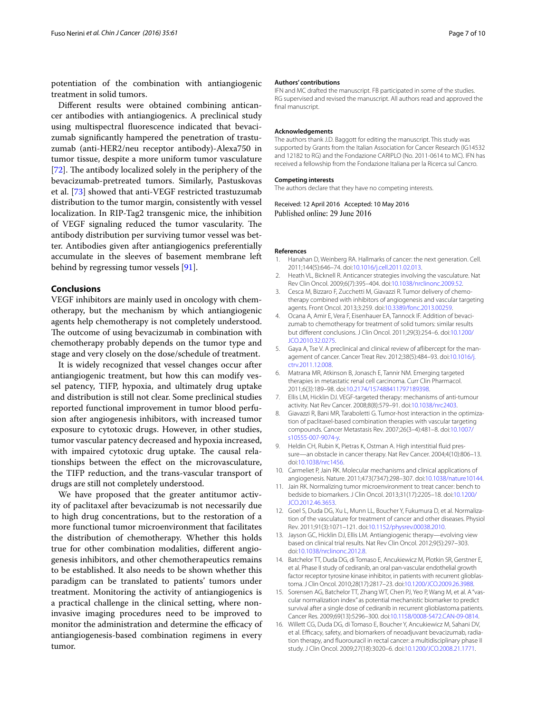potentiation of the combination with antiangiogenic treatment in solid tumors.

Different results were obtained combining anticancer antibodies with antiangiogenics. A preclinical study using multispectral fluorescence indicated that bevacizumab significantly hampered the penetration of trastuzumab (anti-HER2/neu receptor antibody)-Alexa750 in tumor tissue, despite a more uniform tumor vasculature [[72\]](#page-8-16). The antibody localized solely in the periphery of the bevacizumab-pretreated tumors. Similarly, Pastuskovas et al. [\[73](#page-8-22)] showed that anti-VEGF restricted trastuzumab distribution to the tumor margin, consistently with vessel localization. In RIP-Tag2 transgenic mice, the inhibition of VEGF signaling reduced the tumor vascularity. The antibody distribution per surviving tumor vessel was better. Antibodies given after antiangiogenics preferentially accumulate in the sleeves of basement membrane left behind by regressing tumor vessels [\[91](#page-9-2)].

#### **Conclusions**

VEGF inhibitors are mainly used in oncology with chemotherapy, but the mechanism by which antiangiogenic agents help chemotherapy is not completely understood. The outcome of using bevacizumab in combination with chemotherapy probably depends on the tumor type and stage and very closely on the dose/schedule of treatment.

It is widely recognized that vessel changes occur after antiangiogenic treatment, but how this can modify vessel patency, TIFP, hypoxia, and ultimately drug uptake and distribution is still not clear. Some preclinical studies reported functional improvement in tumor blood perfusion after angiogenesis inhibitors, with increased tumor exposure to cytotoxic drugs. However, in other studies, tumor vascular patency decreased and hypoxia increased, with impaired cytotoxic drug uptake. The causal relationships between the effect on the microvasculature, the TIFP reduction, and the trans-vascular transport of drugs are still not completely understood.

We have proposed that the greater antitumor activity of paclitaxel after bevacizumab is not necessarily due to high drug concentrations, but to the restoration of a more functional tumor microenvironment that facilitates the distribution of chemotherapy. Whether this holds true for other combination modalities, different angiogenesis inhibitors, and other chemotherapeutics remains to be established. It also needs to be shown whether this paradigm can be translated to patients' tumors under treatment. Monitoring the activity of antiangiogenics is a practical challenge in the clinical setting, where noninvasive imaging procedures need to be improved to monitor the administration and determine the efficacy of antiangiogenesis-based combination regimens in every tumor.

#### **Authors' contributions**

IFN and MC drafted the manuscript. FB participated in some of the studies. RG supervised and revised the manuscript. All authors read and approved the final manuscript.

#### **Acknowledgements**

The authors thank J.D. Baggott for editing the manuscript. This study was supported by Grants from the Italian Association for Cancer Research (IG14532 and 12182 to RG) and the Fondazione CARIPLO (No. 2011-0614 to MC). IFN has received a fellowship from the Fondazione Italiana per la Ricerca sul Cancro.

#### **Competing interests**

The authors declare that they have no competing interests.

Received: 12 April 2016 Accepted: 10 May 2016 Published online: 29 June 2016

#### **References**

- <span id="page-6-0"></span>1. Hanahan D, Weinberg RA. Hallmarks of cancer: the next generation. Cell. 2011;144(5):646–74. doi:[10.1016/j.cell.2011.02.013](http://dx.doi.org/10.1016/j.cell.2011.02.013).
- <span id="page-6-1"></span>2. Heath VL, Bicknell R. Anticancer strategies involving the vasculature. Nat Rev Clin Oncol. 2009;6(7):395–404. doi[:10.1038/nrclinonc.2009.52.](http://dx.doi.org/10.1038/nrclinonc.2009.52)
- <span id="page-6-2"></span>3. Cesca M, Bizzaro F, Zucchetti M, Giavazzi R. Tumor delivery of chemotherapy combined with inhibitors of angiogenesis and vascular targeting agents. Front Oncol. 2013;3:259. doi:[10.3389/fonc.2013.00259](http://dx.doi.org/10.3389/fonc.2013.00259).
- <span id="page-6-3"></span>4. Ocana A, Amir E, Vera F, Eisenhauer EA, Tannock IF. Addition of bevacizumab to chemotherapy for treatment of solid tumors: similar results but different conclusions. J Clin Oncol. 2011;29(3):254–6. doi:[10.1200/](http://dx.doi.org/10.1200/JCO.2010.32.0275) [JCO.2010.32.0275.](http://dx.doi.org/10.1200/JCO.2010.32.0275)
- <span id="page-6-4"></span>5. Gaya A, Tse V. A preclinical and clinical review of aflibercept for the management of cancer. Cancer Treat Rev. 2012;38(5):484–93. doi[:10.1016/j.](http://dx.doi.org/10.1016/j.ctrv.2011.12.008) [ctrv.2011.12.008.](http://dx.doi.org/10.1016/j.ctrv.2011.12.008)
- <span id="page-6-5"></span>6. Matrana MR, Atkinson B, Jonasch E, Tannir NM. Emerging targeted therapies in metastatic renal cell carcinoma. Curr Clin Pharmacol. 2011;6(3):189–98. doi[:10.2174/157488411797189398.](http://dx.doi.org/10.2174/157488411797189398)
- <span id="page-6-6"></span>7. Ellis LM, Hicklin DJ. VEGF-targeted therapy: mechanisms of anti-tumour activity. Nat Rev Cancer. 2008;8(8):579–91. doi[:10.1038/nrc2403](http://dx.doi.org/10.1038/nrc2403).
- <span id="page-6-7"></span>Giavazzi R, Bani MR, Taraboletti G. Tumor-host interaction in the optimization of paclitaxel-based combination therapies with vascular targeting compounds. Cancer Metastasis Rev. 2007;26(3–4):481–8. doi:[10.1007/](http://dx.doi.org/10.1007/s10555-007-9074-y) [s10555-007-9074-y](http://dx.doi.org/10.1007/s10555-007-9074-y).
- <span id="page-6-8"></span>9. Heldin CH, Rubin K, Pietras K, Ostman A. High interstitial fluid pressure—an obstacle in cancer therapy. Nat Rev Cancer. 2004;4(10):806–13. doi:[10.1038/nrc1456.](http://dx.doi.org/10.1038/nrc1456)
- <span id="page-6-9"></span>10. Carmeliet P, Jain RK. Molecular mechanisms and clinical applications of angiogenesis. Nature. 2011;473(7347):298–307. doi:[10.1038/nature10144](http://dx.doi.org/10.1038/nature10144).
- <span id="page-6-10"></span>11. Jain RK. Normalizing tumor microenvironment to treat cancer: bench to bedside to biomarkers. J Clin Oncol. 2013;31(17):2205–18. doi[:10.1200/](http://dx.doi.org/10.1200/JCO.2012.46.3653) [JCO.2012.46.3653.](http://dx.doi.org/10.1200/JCO.2012.46.3653)
- <span id="page-6-11"></span>12. Goel S, Duda DG, Xu L, Munn LL, Boucher Y, Fukumura D, et al. Normalization of the vasculature for treatment of cancer and other diseases. Physiol Rev. 2011;91(3):1071–121. doi:[10.1152/physrev.00038.2010](http://dx.doi.org/10.1152/physrev.00038.2010).
- <span id="page-6-12"></span>13. Jayson GC, Hicklin DJ, Ellis LM. Antiangiogenic therapy—evolving view based on clinical trial results. Nat Rev Clin Oncol. 2012;9(5):297–303. doi:[10.1038/nrclinonc.2012.8](http://dx.doi.org/10.1038/nrclinonc.2012.8).
- 14. Batchelor TT, Duda DG, di Tomaso E, Ancukiewicz M, Plotkin SR, Gerstner E, et al. Phase II study of cediranib, an oral pan-vascular endothelial growth factor receptor tyrosine kinase inhibitor, in patients with recurrent glioblastoma. J Clin Oncol. 2010;28(17):2817–23. doi:[10.1200/JCO.2009.26.3988.](http://dx.doi.org/10.1200/JCO.2009.26.3988)
- 15. Sorensen AG, Batchelor TT, Zhang WT, Chen PJ, Yeo P, Wang M, et al. A "vascular normalization index" as potential mechanistic biomarker to predict survival after a single dose of cediranib in recurrent glioblastoma patients. Cancer Res. 2009;69(13):5296–300. doi[:10.1158/0008-5472.CAN-09-0814.](http://dx.doi.org/10.1158/0008-5472.CAN-09-0814)
- 16. Willett CG, Duda DG, di Tomaso E, Boucher Y, Ancukiewicz M, Sahani DV, et al. Efficacy, safety, and biomarkers of neoadjuvant bevacizumab, radiation therapy, and fluorouracil in rectal cancer: a multidisciplinary phase II study. J Clin Oncol. 2009;27(18):3020–6. doi:[10.1200/JCO.2008.21.1771.](http://dx.doi.org/10.1200/JCO.2008.21.1771)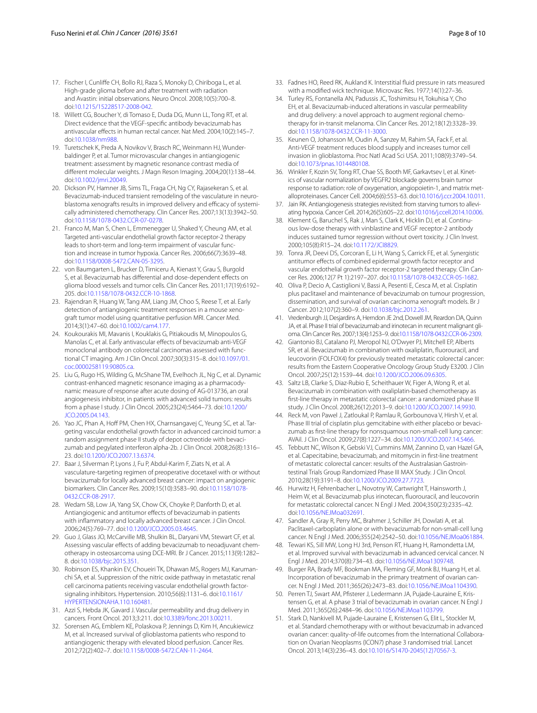- <span id="page-7-0"></span>17. Fischer I, Cunliffe CH, Bollo RJ, Raza S, Monoky D, Chiriboga L, et al. High-grade glioma before and after treatment with radiation and Avastin: initial observations. Neuro Oncol. 2008;10(5):700–8. doi:[10.1215/15228517-2008-042.](http://dx.doi.org/10.1215/15228517-2008-042)
- <span id="page-7-1"></span>18. Willett CG, Boucher Y, di Tomaso E, Duda DG, Munn LL, Tong RT, et al. Direct evidence that the VEGF-specific antibody bevacizumab has antivascular effects in human rectal cancer. Nat Med. 2004;10(2):145–7. doi:[10.1038/nm988.](http://dx.doi.org/10.1038/nm988)
- <span id="page-7-2"></span>19. Turetschek K, Preda A, Novikov V, Brasch RC, Weinmann HJ, Wunderbaldinger P, et al. Tumor microvascular changes in antiangiogenic treatment: assessment by magnetic resonance contrast media of different molecular weights. J Magn Reson Imaging. 2004;20(1):138–44. doi:[10.1002/jmri.20049.](http://dx.doi.org/10.1002/jmri.20049)
- <span id="page-7-12"></span>20. Dickson PV, Hamner JB, Sims TL, Fraga CH, Ng CY, Rajasekeran S, et al. Bevacizumab-induced transient remodeling of the vasculature in neuroblastoma xenografts results in improved delivery and efficacy of systemically administered chemotherapy. Clin Cancer Res. 2007;13(13):3942–50. doi:[10.1158/1078-0432.CCR-07-0278](http://dx.doi.org/10.1158/1078-0432.CCR-07-0278).
- <span id="page-7-3"></span>21. Franco M, Man S, Chen L, Emmenegger U, Shaked Y, Cheung AM, et al. Targeted anti-vascular endothelial growth factor receptor-2 therapy leads to short-term and long-term impairment of vascular function and increase in tumor hypoxia. Cancer Res. 2006;66(7):3639–48. doi:[10.1158/0008-5472.CAN-05-3295](http://dx.doi.org/10.1158/0008-5472.CAN-05-3295).
- <span id="page-7-4"></span>22. von Baumgarten L, Brucker D, Tirniceru A, Kienast Y, Grau S, Burgold S, et al. Bevacizumab has differential and dose-dependent effects on glioma blood vessels and tumor cells. Clin Cancer Res. 2011;17(19):6192– 205. doi:[10.1158/1078-0432.CCR-10-1868.](http://dx.doi.org/10.1158/1078-0432.CCR-10-1868)
- <span id="page-7-5"></span>23. Rajendran R, Huang W, Tang AM, Liang JM, Choo S, Reese T, et al. Early detection of antiangiogenic treatment responses in a mouse xenograft tumor model using quantitative perfusion MRI. Cancer Med. 2014;3(1):47–60. doi:[10.1002/cam4.177](http://dx.doi.org/10.1002/cam4.177).
- <span id="page-7-6"></span>24. Koukourakis MI, Mavanis I, Kouklakis G, Pitiakoudis M, Minopoulos G, Manolas C, et al. Early antivascular effects of bevacizumab anti-VEGF monoclonal antibody on colorectal carcinomas assessed with functional CT imaging. Am J Clin Oncol. 2007;30(3):315–8. doi[:10.1097/01.](http://dx.doi.org/10.1097/01.coc.0000258119.90805.ca) [coc.0000258119.90805.ca.](http://dx.doi.org/10.1097/01.coc.0000258119.90805.ca)
- 25. Liu G, Rugo HS, Wilding G, McShane TM, Evelhoch JL, Ng C, et al. Dynamic contrast-enhanced magnetic resonance imaging as a pharmacodynamic measure of response after acute dosing of AG-013736, an oral angiogenesis inhibitor, in patients with advanced solid tumors: results from a phase I study. J Clin Oncol. 2005;23(24):5464–73. doi[:10.1200/](http://dx.doi.org/10.1200/JCO.2005.04.143) [JCO.2005.04.143](http://dx.doi.org/10.1200/JCO.2005.04.143).
- 26. Yao JC, Phan A, Hoff PM, Chen HX, Charnsangavej C, Yeung SC, et al. Targeting vascular endothelial growth factor in advanced carcinoid tumor: a random assignment phase II study of depot octreotide with bevacizumab and pegylated interferon alpha-2b. J Clin Oncol. 2008;26(8):1316– 23. doi:[10.1200/JCO.2007.13.6374.](http://dx.doi.org/10.1200/JCO.2007.13.6374)
- 27. Baar J, Silverman P, Lyons J, Fu P, Abdul-Karim F, Ziats N, et al. A vasculature-targeting regimen of preoperative docetaxel with or without bevacizumab for locally advanced breast cancer: impact on angiogenic biomarkers. Clin Cancer Res. 2009;15(10):3583–90. doi[:10.1158/1078-](http://dx.doi.org/10.1158/1078-0432.CCR-08-2917) [0432.CCR-08-2917](http://dx.doi.org/10.1158/1078-0432.CCR-08-2917).
- 28. Wedam SB, Low JA, Yang SX, Chow CK, Choyke P, Danforth D, et al. Antiangiogenic and antitumor effects of bevacizumab in patients with inflammatory and locally advanced breast cancer. J Clin Oncol. 2006;24(5):769–77. doi:[10.1200/JCO.2005.03.4645.](http://dx.doi.org/10.1200/JCO.2005.03.4645)
- <span id="page-7-7"></span>29. Guo J, Glass JO, McCarville MB, Shulkin BL, Daryani VM, Stewart CF, et al. Assessing vascular effects of adding bevacizumab to neoadjuvant chemotherapy in osteosarcoma using DCE-MRI. Br J Cancer. 2015;113(9):1282– 8. doi[:10.1038/bjc.2015.351](http://dx.doi.org/10.1038/bjc.2015.351).
- <span id="page-7-8"></span>30. Robinson ES, Khankin EV, Choueiri TK, Dhawan MS, Rogers MJ, Karumanchi SA, et al. Suppression of the nitric oxide pathway in metastatic renal cell carcinoma patients receiving vascular endothelial growth factorsignaling inhibitors. Hypertension. 2010;56(6):1131–6. doi[:10.1161/](http://dx.doi.org/10.1161/HYPERTENSIONAHA.110.160481) [HYPERTENSIONAHA.110.160481](http://dx.doi.org/10.1161/HYPERTENSIONAHA.110.160481).
- <span id="page-7-9"></span>31. Azzi S, Hebda JK, Gavard J. Vascular permeability and drug delivery in cancers. Front Oncol. 2013;3:211. doi[:10.3389/fonc.2013.00211.](http://dx.doi.org/10.3389/fonc.2013.00211)
- <span id="page-7-10"></span>32. Sorensen AG, Emblem KE, Polaskova P, Jennings D, Kim H, Ancukiewicz M, et al. Increased survival of glioblastoma patients who respond to antiangiogenic therapy with elevated blood perfusion. Cancer Res. 2012;72(2):402–7. doi[:10.1158/0008-5472.CAN-11-2464.](http://dx.doi.org/10.1158/0008-5472.CAN-11-2464)
- <span id="page-7-11"></span>33. Fadnes HO, Reed RK, Aukland K. Interstitial fluid pressure in rats measured with a modified wick technique. Microvasc Res. 1977;14(1):27–36.
- <span id="page-7-13"></span>34. Turley RS, Fontanella AN, Padussis JC, Toshimitsu H, Tokuhisa Y, Cho EH, et al. Bevacizumab-induced alterations in vascular permeability and drug delivery: a novel approach to augment regional chemotherapy for in-transit melanoma. Clin Cancer Res. 2012;18(12):3328–39. doi:[10.1158/1078-0432.CCR-11-3000](http://dx.doi.org/10.1158/1078-0432.CCR-11-3000).
- <span id="page-7-14"></span>35. Keunen O, Johansson M, Oudin A, Sanzey M, Rahim SA, Fack F, et al. Anti-VEGF treatment reduces blood supply and increases tumor cell invasion in glioblastoma. Proc Natl Acad Sci USA. 2011;108(9):3749–54. doi:[10.1073/pnas.1014480108.](http://dx.doi.org/10.1073/pnas.1014480108)
- <span id="page-7-15"></span>36. Winkler F, Kozin SV, Tong RT, Chae SS, Booth MF, Garkavtsev I, et al. Kinetics of vascular normalization by VEGFR2 blockade governs brain tumor response to radiation: role of oxygenation, angiopoietin-1, and matrix metalloproteinases. Cancer Cell. 2004;6(6):553–63. doi:[10.1016/j.ccr.2004.10.011.](http://dx.doi.org/10.1016/j.ccr.2004.10.011)
- <span id="page-7-16"></span>37. Jain RK. Antiangiogenesis strategies revisited: from starving tumors to alleviating hypoxia. Cancer Cell. 2014;26(5):605–22. doi[:10.1016/j.ccell.2014.10.006](http://dx.doi.org/10.1016/j.ccell.2014.10.006).
- <span id="page-7-17"></span>38. Klement G, Baruchel S, Rak J, Man S, Clark K, Hicklin DJ, et al. Continuous low-dose therapy with vinblastine and VEGF receptor-2 antibody induces sustained tumor regression without overt toxicity. J Clin Invest. 2000;105(8):R15–24. doi:[10.1172/JCI8829.](http://dx.doi.org/10.1172/JCI8829)
- 39. Tonra JR, Deevi DS, Corcoran E, Li H, Wang S, Carrick FE, et al. Synergistic antitumor effects of combined epidermal growth factor receptor and vascular endothelial growth factor receptor-2 targeted therapy. Clin Cancer Res. 2006;12(7 Pt 1):2197–207. doi[:10.1158/1078-0432.CCR-05-1682.](http://dx.doi.org/10.1158/1078-0432.CCR-05-1682)
- <span id="page-7-18"></span>40. Oliva P, Decio A, Castiglioni V, Bassi A, Pesenti E, Cesca M, et al. Cisplatin plus paclitaxel and maintenance of bevacizumab on tumour progression, dissemination, and survival of ovarian carcinoma xenograft models. Br J Cancer. 2012;107(2):360–9. doi[:10.1038/bjc.2012.261](http://dx.doi.org/10.1038/bjc.2012.261).
- <span id="page-7-19"></span>41. Vredenburgh JJ, Desjardins A, Herndon JE 2nd, Dowell JM, Reardon DA, Quinn JA, et al. Phase II trial of bevacizumab and irinotecan in recurrent malignant glioma. Clin Cancer Res. 2007;13(4):1253–9. doi[:10.1158/1078-0432.CCR-06-2309.](http://dx.doi.org/10.1158/1078-0432.CCR-06-2309)
- <span id="page-7-20"></span>42. Giantonio BJ, Catalano PJ, Meropol NJ, O'Dwyer PJ, Mitchell EP, Alberts SR, et al. Bevacizumab in combination with oxaliplatin, fluorouracil, and leucovorin (FOLFOX4) for previously treated metastatic colorectal cancer: results from the Eastern Cooperative Oncology Group Study E3200. J Clin Oncol. 2007;25(12):1539–44. doi[:10.1200/JCO.2006.09.6305.](http://dx.doi.org/10.1200/JCO.2006.09.6305)
- 43. Saltz LB, Clarke S, Diaz-Rubio E, Scheithauer W, Figer A, Wong R, et al. Bevacizumab in combination with oxaliplatin-based chemotherapy as first-line therapy in metastatic colorectal cancer: a randomized phase III study. J Clin Oncol. 2008;26(12):2013–9. doi:[10.1200/JCO.2007.14.9930.](http://dx.doi.org/10.1200/JCO.2007.14.9930)
- 44. Reck M, von Pawel J, Zatloukal P, Ramlau R, Gorbounova V, Hirsh V, et al. Phase III trial of cisplatin plus gemcitabine with either placebo or bevacizumab as first-line therapy for nonsquamous non-small-cell lung cancer: AVAil. J Clin Oncol. 2009;27(8):1227–34. doi[:10.1200/JCO.2007.14.5466](http://dx.doi.org/10.1200/JCO.2007.14.5466).
- <span id="page-7-21"></span>45. Tebbutt NC, Wilson K, Gebski VJ, Cummins MM, Zannino D, van Hazel GA, et al. Capecitabine, bevacizumab, and mitomycin in first-line treatment of metastatic colorectal cancer: results of the Australasian Gastrointestinal Trials Group Randomized Phase III MAX Study. J Clin Oncol. 2010;28(19):3191–8. doi:[10.1200/JCO.2009.27.7723](http://dx.doi.org/10.1200/JCO.2009.27.7723).
- <span id="page-7-22"></span>46. Hurwitz H, Fehrenbacher L, Novotny W, Cartwright T, Hainsworth J, Heim W, et al. Bevacizumab plus irinotecan, fluorouracil, and leucovorin for metastatic colorectal cancer. N Engl J Med. 2004;350(23):2335–42. doi:[10.1056/NEJMoa032691.](http://dx.doi.org/10.1056/NEJMoa032691)
- <span id="page-7-23"></span>47. Sandler A, Gray R, Perry MC, Brahmer J, Schiller JH, Dowlati A, et al. Paclitaxel-carboplatin alone or with bevacizumab for non-small-cell lung cancer. N Engl J Med. 2006;355(24):2542–50. doi[:10.1056/NEJMoa061884.](http://dx.doi.org/10.1056/NEJMoa061884)
- <span id="page-7-24"></span>48. Tewari KS, Sill MW, Long HJ 3rd, Penson RT, Huang H, Ramondetta LM, et al. Improved survival with bevacizumab in advanced cervical cancer. N Engl J Med. 2014;370(8):734–43. doi[:10.1056/NEJMoa1309748.](http://dx.doi.org/10.1056/NEJMoa1309748)
- <span id="page-7-25"></span>49. Burger RA, Brady MF, Bookman MA, Fleming GF, Monk BJ, Huang H, et al. Incorporation of bevacizumab in the primary treatment of ovarian cancer. N Engl J Med. 2011;365(26):2473–83. doi:[10.1056/NEJMoa1104390](http://dx.doi.org/10.1056/NEJMoa1104390).
- 50. Perren TJ, Swart AM, Pfisterer J, Ledermann JA, Pujade-Lauraine E, Kristensen G, et al. A phase 3 trial of bevacizumab in ovarian cancer. N Engl J Med. 2011;365(26):2484–96. doi[:10.1056/NEJMoa1103799](http://dx.doi.org/10.1056/NEJMoa1103799).
- 51. Stark D, Nankivell M, Pujade-Lauraine E, Kristensen G, Elit L, Stockler M, et al. Standard chemotherapy with or without bevacizumab in advanced ovarian cancer: quality-of-life outcomes from the International Collaboration on Ovarian Neoplasms (ICON7) phase 3 randomised trial. Lancet Oncol. 2013;14(3):236–43. doi:[10.1016/S1470-2045\(12\)70567-3](http://dx.doi.org/10.1016/S1470-2045(12)70567-3).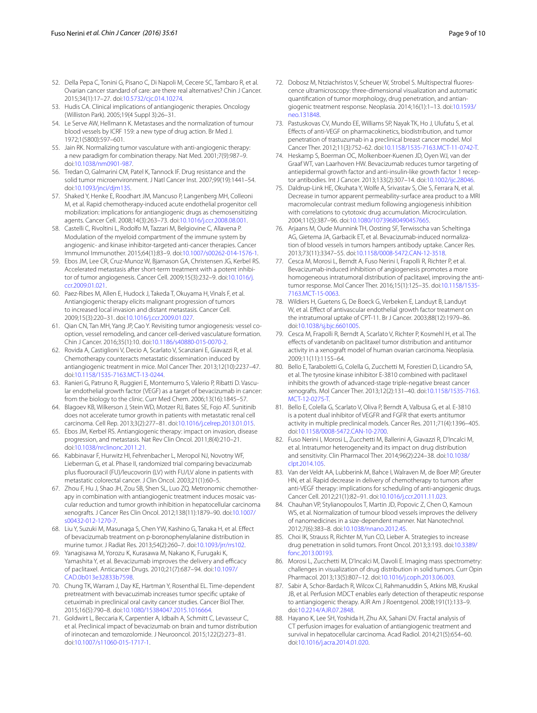- <span id="page-8-0"></span>52. Della Pepa C, Tonini G, Pisano C, Di Napoli M, Cecere SC, Tambaro R, et al. Ovarian cancer standard of care: are there real alternatives? Chin J Cancer. 2015;34(1):17–27. doi[:10.5732/cjc.014.10274](http://dx.doi.org/10.5732/cjc.014.10274).
- <span id="page-8-1"></span>53. Hudis CA. Clinical implications of antiangiogenic therapies. Oncology (Williston Park). 2005;19(4 Suppl 3):26–31.
- <span id="page-8-2"></span>54. Le Serve AW, Hellmann K. Metastases and the normalization of tumour blood vessels by ICRF 159: a new type of drug action. Br Med J. 1972;1(5800):597–601.
- <span id="page-8-3"></span>55. Jain RK. Normalizing tumor vasculature with anti-angiogenic therapy: a new paradigm for combination therapy. Nat Med. 2001;7(9):987–9. doi:[10.1038/nm0901-987.](http://dx.doi.org/10.1038/nm0901-987)
- <span id="page-8-4"></span>56. Tredan O, Galmarini CM, Patel K, Tannock IF. Drug resistance and the solid tumor microenvironment. J Natl Cancer Inst. 2007;99(19):1441–54. doi:[10.1093/jnci/djm135.](http://dx.doi.org/10.1093/jnci/djm135)
- <span id="page-8-5"></span>57. Shaked Y, Henke E, Roodhart JM, Mancuso P, Langenberg MH, Colleoni M, et al. Rapid chemotherapy-induced acute endothelial progenitor cell mobilization: implications for antiangiogenic drugs as chemosensitizing agents. Cancer Cell. 2008;14(3):263–73. doi[:10.1016/j.ccr.2008.08.001.](http://dx.doi.org/10.1016/j.ccr.2008.08.001)
- <span id="page-8-6"></span>58. Castelli C, Rivoltini L, Rodolfo M, Tazzari M, Belgiovine C, Allavena P. Modulation of the myeloid compartment of the immune system by angiogenic- and kinase inhibitor-targeted anti-cancer therapies. Cancer Immunol Immunother. 2015;64(1):83–9. doi[:10.1007/s00262-014-1576-1](http://dx.doi.org/10.1007/s00262-014-1576-1).
- <span id="page-8-7"></span>59. Ebos JM, Lee CR, Cruz-Munoz W, Bjarnason GA, Christensen JG, Kerbel RS. Accelerated metastasis after short-term treatment with a potent inhibitor of tumor angiogenesis. Cancer Cell. 2009;15(3):232–9. doi[:10.1016/j.](http://dx.doi.org/10.1016/j.ccr.2009.01.021) [ccr.2009.01.021](http://dx.doi.org/10.1016/j.ccr.2009.01.021).
- 60. Paez-Ribes M, Allen E, Hudock J, Takeda T, Okuyama H, Vinals F, et al. Antiangiogenic therapy elicits malignant progression of tumors to increased local invasion and distant metastasis. Cancer Cell. 2009;15(3):220–31. doi:[10.1016/j.ccr.2009.01.027.](http://dx.doi.org/10.1016/j.ccr.2009.01.027)
- <span id="page-8-8"></span>61. Qian CN, Tan MH, Yang JP, Cao Y. Revisiting tumor angiogenesis: vessel cooption, vessel remodeling, and cancer cell-derived vasculature formation. Chin J Cancer. 2016;35(1):10. doi[:10.1186/s40880-015-0070-2](http://dx.doi.org/10.1186/s40880-015-0070-2).
- <span id="page-8-9"></span>62. Rovida A, Castiglioni V, Decio A, Scarlato V, Scanziani E, Giavazzi R, et al. Chemotherapy counteracts metastatic dissemination induced by antiangiogenic treatment in mice. Mol Cancer Ther. 2013;12(10):2237–47. doi:[10.1158/1535-7163.MCT-13-0244](http://dx.doi.org/10.1158/1535-7163.MCT-13-0244).
- <span id="page-8-10"></span>63. Ranieri G, Patruno R, Ruggieri E, Montemurro S, Valerio P, Ribatti D. Vascular endothelial growth factor (VEGF) as a target of bevacizumab in cancer: from the biology to the clinic. Curr Med Chem. 2006;13(16):1845–57.
- <span id="page-8-11"></span>64. Blagoev KB, Wilkerson J, Stein WD, Motzer RJ, Bates SE, Fojo AT. Sunitinib does not accelerate tumor growth in patients with metastatic renal cell carcinoma. Cell Rep. 2013;3(2):277–81. doi:[10.1016/j.celrep.2013.01.015.](http://dx.doi.org/10.1016/j.celrep.2013.01.015)
- <span id="page-8-12"></span>65. Ebos JM, Kerbel RS. Antiangiogenic therapy: impact on invasion, disease progression, and metastasis. Nat Rev Clin Oncol. 2011;8(4):210–21. doi:[10.1038/nrclinonc.2011.21](http://dx.doi.org/10.1038/nrclinonc.2011.21).
- <span id="page-8-13"></span>66. Kabbinavar F, Hurwitz HI, Fehrenbacher L, Meropol NJ, Novotny WF, Lieberman G, et al. Phase II, randomized trial comparing bevacizumab plus fluorouracil (FU)/leucovorin (LV) with FU/LV alone in patients with metastatic colorectal cancer. J Clin Oncol. 2003;21(1):60–5.
- <span id="page-8-14"></span>67. Zhou F, Hu J, Shao JH, Zou SB, Shen SL, Luo ZQ. Metronomic chemotherapy in combination with antiangiogenic treatment induces mosaic vascular reduction and tumor growth inhibition in hepatocellular carcinoma xenografts. J Cancer Res Clin Oncol. 2012;138(11):1879–90. doi:[10.1007/](http://dx.doi.org/10.1007/s00432-012-1270-7) [s00432-012-1270-7.](http://dx.doi.org/10.1007/s00432-012-1270-7)
- <span id="page-8-18"></span>68. Liu Y, Suzuki M, Masunaga S, Chen YW, Kashino G, Tanaka H, et al. Effect of bevacizumab treatment on p-boronophenylalanine distribution in murine tumor. J Radiat Res. 2013;54(2):260–7. doi[:10.1093/jrr/rrs102](http://dx.doi.org/10.1093/jrr/rrs102).
- <span id="page-8-20"></span>69. Yanagisawa M, Yorozu K, Kurasawa M, Nakano K, Furugaki K, Yamashita Y, et al. Bevacizumab improves the delivery and efficacy of paclitaxel. Anticancer Drugs. 2010;21(7):687–94. doi[:10.1097/](http://dx.doi.org/10.1097/CAD.0b013e32833b7598) [CAD.0b013e32833b7598](http://dx.doi.org/10.1097/CAD.0b013e32833b7598).
- <span id="page-8-35"></span>70. Chung TK, Warram J, Day KE, Hartman Y, Rosenthal EL. Time-dependent pretreatment with bevacuzimab increases tumor specific uptake of cetuximab in preclinical oral cavity cancer studies. Cancer Biol Ther. 2015;16(5):790–8. doi[:10.1080/15384047.2015.1016664](http://dx.doi.org/10.1080/15384047.2015.1016664).
- <span id="page-8-15"></span>71. Goldwirt L, Beccaria K, Carpentier A, Idbaih A, Schmitt C, Levasseur C, et al. Preclinical impact of bevacizumab on brain and tumor distribution of irinotecan and temozolomide. J Neurooncol. 2015;122(2):273–81. doi:[10.1007/s11060-015-1717-1.](http://dx.doi.org/10.1007/s11060-015-1717-1)
- <span id="page-8-16"></span>72. Dobosz M, Ntziachristos V, Scheuer W, Strobel S. Multispectral fluorescence ultramicroscopy: three-dimensional visualization and automatic quantification of tumor morphology, drug penetration, and antiangiogenic treatment response. Neoplasia. 2014;16(1):1–13. doi[:10.1593/](http://dx.doi.org/10.1593/neo.131848) [neo.131848.](http://dx.doi.org/10.1593/neo.131848)
- <span id="page-8-22"></span>73. Pastuskovas CV, Mundo EE, Williams SP, Nayak TK, Ho J, Ulufatu S, et al. Effects of anti-VEGF on pharmacokinetics, biodistribution, and tumor penetration of trastuzumab in a preclinical breast cancer model. Mol Cancer Ther. 2012;11(3):752–62. doi:[10.1158/1535-7163.MCT-11-0742-T.](http://dx.doi.org/10.1158/1535-7163.MCT-11-0742-T)
- <span id="page-8-29"></span>74. Heskamp S, Boerman OC, Molkenboer-Kuenen JD, Oyen WJ, van der Graaf WT, van Laarhoven HW. Bevacizumab reduces tumor targeting of antiepidermal growth factor and anti-insulin-like growth factor 1 receptor antibodies. Int J Cancer. 2013;133(2):307–14. doi[:10.1002/ijc.28046](http://dx.doi.org/10.1002/ijc.28046).
- <span id="page-8-21"></span>75. Daldrup-Link HE, Okuhata Y, Wolfe A, Srivastav S, Oie S, Ferrara N, et al. Decrease in tumor apparent permeability-surface area product to a MRI macromolecular contrast medium following angiogenesis inhibition with correlations to cytotoxic drug accumulation. Microcirculation. 2004;11(5):387–96. doi:[10.1080/10739680490457665.](http://dx.doi.org/10.1080/10739680490457665)
- <span id="page-8-30"></span>76. Arjaans M, Oude Munnink TH, Oosting SF, Terwisscha van Scheltinga AG, Gietema JA, Garbacik ET, et al. Bevacizumab-induced normalization of blood vessels in tumors hampers antibody uptake. Cancer Res. 2013;73(11):3347–55. doi[:10.1158/0008-5472.CAN-12-3518.](http://dx.doi.org/10.1158/0008-5472.CAN-12-3518)
- <span id="page-8-17"></span>77. Cesca M, Morosi L, Berndt A, Fuso Nerini I, Frapolli R, Richter P, et al. Bevacizumab-induced inhibition of angiogenesis promotes a more homogeneous intratumoral distribution of paclitaxel, improving the antitumor response. Mol Cancer Ther. 2016;15(1):125–35. doi[:10.1158/1535-](http://dx.doi.org/10.1158/1535-7163.MCT-15-0063) [7163.MCT-15-0063.](http://dx.doi.org/10.1158/1535-7163.MCT-15-0063)
- <span id="page-8-19"></span>78. Wildiers H, Guetens G, De Boeck G, Verbeken E, Landuyt B, Landuyt W, et al. Effect of antivascular endothelial growth factor treatment on the intratumoral uptake of CPT-11. Br J Cancer. 2003;88(12):1979–86. doi:[10.1038/sj.bjc.6601005](http://dx.doi.org/10.1038/sj.bjc.6601005).
- <span id="page-8-23"></span>79. Cesca M, Frapolli R, Berndt A, Scarlato V, Richter P, Kosmehl H, et al. The effects of vandetanib on paclitaxel tumor distribution and antitumor activity in a xenograft model of human ovarian carcinoma. Neoplasia. 2009;11(11):1155–64.
- <span id="page-8-24"></span>80. Bello E, Taraboletti G, Colella G, Zucchetti M, Forestieri D, Licandro SA, et al. The tyrosine kinase inhibitor E-3810 combined with paclitaxel inhibits the growth of advanced-stage triple-negative breast cancer xenografts. Mol Cancer Ther. 2013;12(2):131–40. doi:[10.1158/1535-7163.](http://dx.doi.org/10.1158/1535-7163.MCT-12-0275-T) [MCT-12-0275-T.](http://dx.doi.org/10.1158/1535-7163.MCT-12-0275-T)
- <span id="page-8-25"></span>81. Bello E, Colella G, Scarlato V, Oliva P, Berndt A, Valbusa G, et al. E-3810 is a potent dual inhibitor of VEGFR and FGFR that exerts antitumor activity in multiple preclinical models. Cancer Res. 2011;71(4):1396–405. doi:[10.1158/0008-5472.CAN-10-2700](http://dx.doi.org/10.1158/0008-5472.CAN-10-2700).
- <span id="page-8-26"></span>82. Fuso Nerini I, Morosi L, Zucchetti M, Ballerini A, Giavazzi R, D'Incalci M, et al. Intratumor heterogeneity and its impact on drug distribution and sensitivity. Clin Pharmacol Ther. 2014;96(2):224–38. doi[:10.1038/](http://dx.doi.org/10.1038/clpt.2014.105) [clpt.2014.105](http://dx.doi.org/10.1038/clpt.2014.105).
- <span id="page-8-27"></span>83. Van der Veldt AA, Lubberink M, Bahce I, Walraven M, de Boer MP, Greuter HN, et al. Rapid decrease in delivery of chemotherapy to tumors after anti-VEGF therapy: implications for scheduling of anti-angiogenic drugs. Cancer Cell. 2012;21(1):82–91. doi:[10.1016/j.ccr.2011.11.023.](http://dx.doi.org/10.1016/j.ccr.2011.11.023)
- <span id="page-8-28"></span>84. Chauhan VP, Stylianopoulos T, Martin JD, Popovic Z, Chen O, Kamoun WS, et al. Normalization of tumour blood vessels improves the delivery of nanomedicines in a size-dependent manner. Nat Nanotechnol. 2012;7(6):383–8. doi:[10.1038/nnano.2012.45](http://dx.doi.org/10.1038/nnano.2012.45).
- <span id="page-8-31"></span>85. Choi IK, Strauss R, Richter M, Yun CO, Lieber A. Strategies to increase drug penetration in solid tumors. Front Oncol. 2013;3:193. doi:[10.3389/](http://dx.doi.org/10.3389/fonc.2013.00193) [fonc.2013.00193](http://dx.doi.org/10.3389/fonc.2013.00193).
- <span id="page-8-32"></span>86. Morosi L, Zucchetti M, D'Incalci M, Davoli E. Imaging mass spectrometry: challenges in visualization of drug distribution in solid tumors. Curr Opin Pharmacol. 2013;13(5):807–12. doi:[10.1016/j.coph.2013.06.003.](http://dx.doi.org/10.1016/j.coph.2013.06.003)
- <span id="page-8-33"></span>87. Sabir A, Schor-Bardach R, Wilcox CJ, Rahmanuddin S, Atkins MB, Kruskal JB, et al. Perfusion MDCT enables early detection of therapeutic response to antiangiogenic therapy. AJR Am J Roentgenol. 2008;191(1):133–9. doi:[10.2214/AJR.07.2848](http://dx.doi.org/10.2214/AJR.07.2848).
- <span id="page-8-34"></span>88. Hayano K, Lee SH, Yoshida H, Zhu AX, Sahani DV. Fractal analysis of CT perfusion images for evaluation of antiangiogenic treatment and survival in hepatocellular carcinoma. Acad Radiol. 2014;21(5):654–60. doi:[10.1016/j.acra.2014.01.020.](http://dx.doi.org/10.1016/j.acra.2014.01.020)